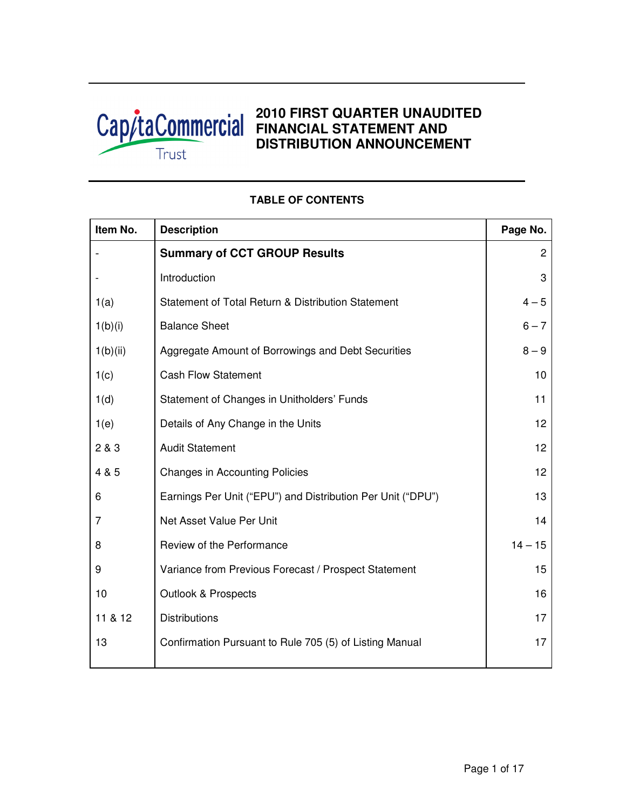

# **2010 FIRST QUARTER UNAUDITED FINANCIAL STATEMENT AND DISTRIBUTION ANNOUNCEMENT**

| Item No. | <b>Description</b>                                          | Page No.       |
|----------|-------------------------------------------------------------|----------------|
|          | <b>Summary of CCT GROUP Results</b>                         | $\overline{c}$ |
|          | Introduction                                                | 3              |
| 1(a)     | Statement of Total Return & Distribution Statement          | $4 - 5$        |
| 1(b)(i)  | <b>Balance Sheet</b>                                        | $6 - 7$        |
| 1(b)(ii) | Aggregate Amount of Borrowings and Debt Securities          | $8 - 9$        |
| 1(c)     | <b>Cash Flow Statement</b>                                  | 10             |
| 1(d)     | Statement of Changes in Unitholders' Funds                  | 11             |
| 1(e)     | Details of Any Change in the Units                          | 12             |
| 2 & 3    | <b>Audit Statement</b>                                      | 12             |
| 4 & 5    | <b>Changes in Accounting Policies</b>                       | 12             |
| 6        | Earnings Per Unit ("EPU") and Distribution Per Unit ("DPU") | 13             |
| 7        | Net Asset Value Per Unit                                    | 14             |
| 8        | Review of the Performance                                   | $14 - 15$      |
| 9        | Variance from Previous Forecast / Prospect Statement        | 15             |
| 10       | <b>Outlook &amp; Prospects</b>                              | 16             |
| 11 & 12  | <b>Distributions</b>                                        | 17             |
| 13       | Confirmation Pursuant to Rule 705 (5) of Listing Manual     | 17             |

## **TABLE OF CONTENTS**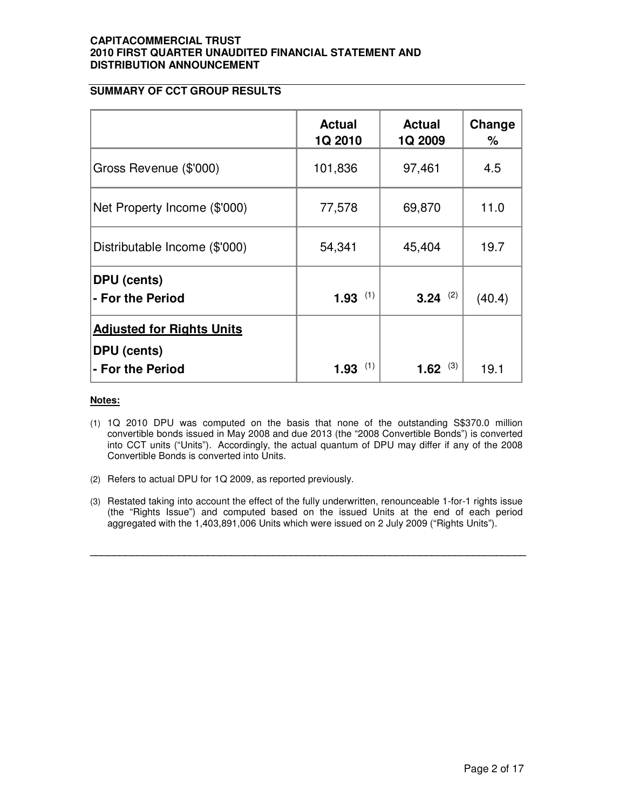## **SUMMARY OF CCT GROUP RESULTS**

|                                                        | <b>Actual</b><br>1Q 2010 | <b>Actual</b><br>1Q 2009 | Change<br>% |
|--------------------------------------------------------|--------------------------|--------------------------|-------------|
| Gross Revenue (\$'000)                                 | 101,836                  | 97,461                   | 4.5         |
| Net Property Income (\$'000)                           | 77,578                   | 69,870                   | 11.0        |
| Distributable Income (\$'000)                          | 54,341                   | 45,404                   | 19.7        |
| <b>DPU</b> (cents)<br>- For the Period                 | (1)<br>1.93              | (2)<br>3.24              | (40.4)      |
| <b>Adjusted for Rights Units</b><br><b>DPU</b> (cents) |                          |                          |             |
| - For the Period                                       | (1)<br>1.93              | (3)<br>1.62              | 19.1        |

#### **Notes:**

- (1) 1Q 2010 DPU was computed on the basis that none of the outstanding S\$370.0 million convertible bonds issued in May 2008 and due 2013 (the "2008 Convertible Bonds") is converted into CCT units ("Units"). Accordingly, the actual quantum of DPU may differ if any of the 2008 Convertible Bonds is converted into Units.
- (2) Refers to actual DPU for 1Q 2009, as reported previously.
- (3) Restated taking into account the effect of the fully underwritten, renounceable 1-for-1 rights issue (the "Rights Issue") and computed based on the issued Units at the end of each period aggregated with the 1,403,891,006 Units which were issued on 2 July 2009 ("Rights Units").

**\_\_\_\_\_\_\_\_\_\_\_\_\_\_\_\_\_\_\_\_\_\_\_\_\_\_\_\_\_\_\_\_\_\_\_\_\_\_\_\_\_\_\_\_\_\_\_\_\_\_\_\_\_\_\_\_\_\_\_\_\_\_\_\_\_\_\_\_\_\_\_\_\_\_**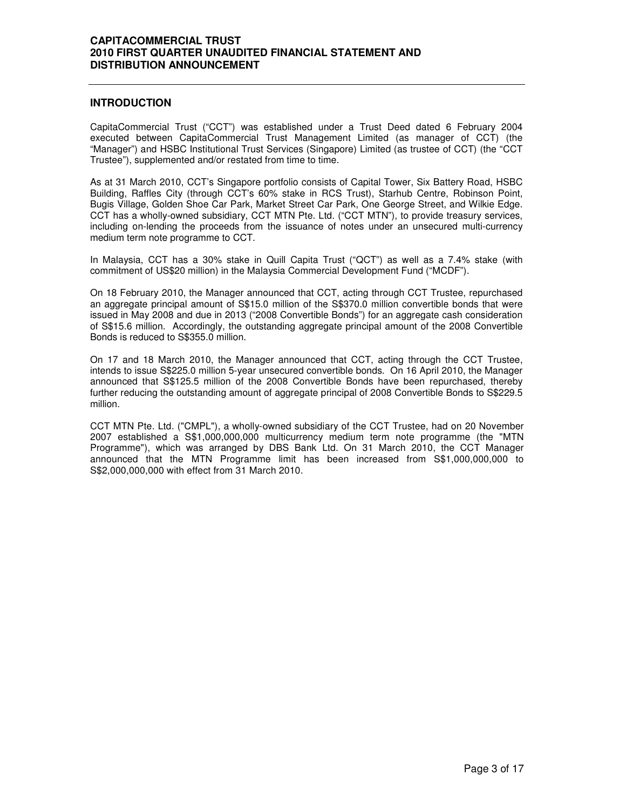#### **INTRODUCTION**

CapitaCommercial Trust ("CCT") was established under a Trust Deed dated 6 February 2004 executed between CapitaCommercial Trust Management Limited (as manager of CCT) (the "Manager") and HSBC Institutional Trust Services (Singapore) Limited (as trustee of CCT) (the "CCT Trustee"), supplemented and/or restated from time to time.

As at 31 March 2010, CCT's Singapore portfolio consists of Capital Tower, Six Battery Road, HSBC Building, Raffles City (through CCT's 60% stake in RCS Trust), Starhub Centre, Robinson Point, Bugis Village, Golden Shoe Car Park, Market Street Car Park, One George Street, and Wilkie Edge. CCT has a wholly-owned subsidiary, CCT MTN Pte. Ltd. ("CCT MTN"), to provide treasury services, including on-lending the proceeds from the issuance of notes under an unsecured multi-currency medium term note programme to CCT.

In Malaysia, CCT has a 30% stake in Quill Capita Trust ("QCT") as well as a 7.4% stake (with commitment of US\$20 million) in the Malaysia Commercial Development Fund ("MCDF").

On 18 February 2010, the Manager announced that CCT, acting through CCT Trustee, repurchased an aggregate principal amount of S\$15.0 million of the S\$370.0 million convertible bonds that were issued in May 2008 and due in 2013 ("2008 Convertible Bonds") for an aggregate cash consideration of S\$15.6 million. Accordingly, the outstanding aggregate principal amount of the 2008 Convertible Bonds is reduced to S\$355.0 million.

On 17 and 18 March 2010, the Manager announced that CCT, acting through the CCT Trustee, intends to issue S\$225.0 million 5-year unsecured convertible bonds. On 16 April 2010, the Manager announced that S\$125.5 million of the 2008 Convertible Bonds have been repurchased, thereby further reducing the outstanding amount of aggregate principal of 2008 Convertible Bonds to S\$229.5 million.

CCT MTN Pte. Ltd. ("CMPL"), a wholly-owned subsidiary of the CCT Trustee, had on 20 November 2007 established a S\$1,000,000,000 multicurrency medium term note programme (the "MTN Programme"), which was arranged by DBS Bank Ltd. On 31 March 2010, the CCT Manager announced that the MTN Programme limit has been increased from S\$1,000,000,000 to S\$2,000,000,000 with effect from 31 March 2010.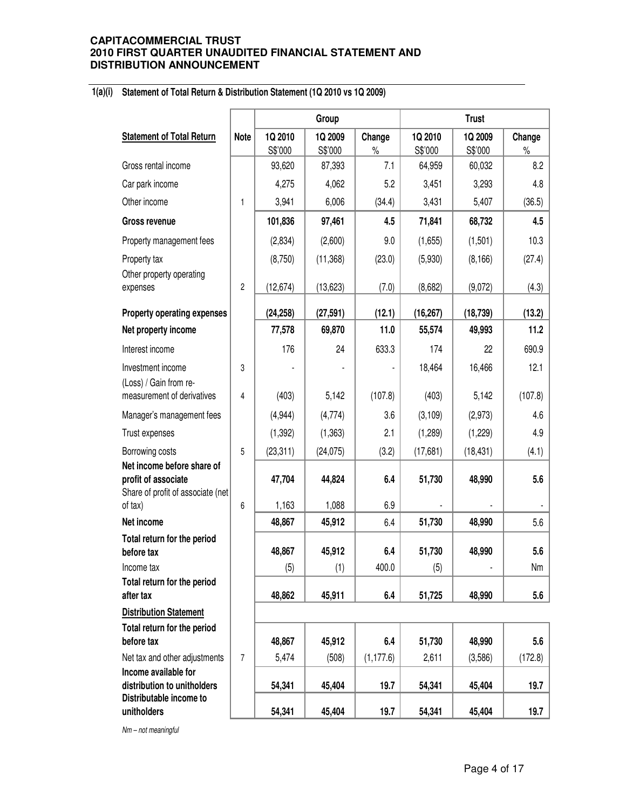#### **1(a)(i) Statement of Total Return & Distribution Statement (1Q 2010 vs 1Q 2009)**

|                                                                                        |                |                    | Group              |                | <b>Trust</b>       |                    |                |  |
|----------------------------------------------------------------------------------------|----------------|--------------------|--------------------|----------------|--------------------|--------------------|----------------|--|
| <b>Statement of Total Return</b>                                                       | <b>Note</b>    | 1Q 2010<br>S\$'000 | 1Q 2009<br>S\$'000 | Change<br>$\%$ | 1Q 2010<br>S\$'000 | 1Q 2009<br>S\$'000 | Change<br>$\%$ |  |
| Gross rental income                                                                    |                | 93,620             | 87,393             | 7.1            | 64,959             | 60,032             | 8.2            |  |
| Car park income                                                                        |                | 4,275              | 4,062              | 5.2            | 3,451              | 3,293              | 4.8            |  |
| Other income                                                                           | 1              | 3,941              | 6,006              | (34.4)         | 3,431              | 5,407              | (36.5)         |  |
| Gross revenue                                                                          |                | 101,836            | 97,461             | 4.5            | 71,841             | 68,732             | 4.5            |  |
| Property management fees                                                               |                | (2,834)            | (2,600)            | 9.0            | (1,655)            | (1,501)            | 10.3           |  |
| Property tax<br>Other property operating                                               |                | (8,750)            | (11, 368)          | (23.0)         | (5,930)            | (8, 166)           | (27.4)         |  |
| expenses                                                                               | $\overline{2}$ | (12, 674)          | (13, 623)          | (7.0)          | (8,682)            | (9,072)            | (4.3)          |  |
| <b>Property operating expenses</b>                                                     |                | (24, 258)          | (27, 591)          | (12.1)         | (16, 267)          | (18, 739)          | (13.2)         |  |
| Net property income                                                                    |                | 77,578             | 69,870             | 11.0           | 55,574             | 49,993             | 11.2           |  |
| Interest income                                                                        |                | 176                | 24                 | 633.3          | 174                | 22                 | 690.9          |  |
| Investment income<br>(Loss) / Gain from re-                                            | 3              |                    |                    |                | 18,464             | 16,466             | 12.1           |  |
| measurement of derivatives                                                             | 4              | (403)              | 5,142              | (107.8)        | (403)              | 5,142              | (107.8)        |  |
| Manager's management fees                                                              |                | (4,944)            | (4,774)            | 3.6            | (3, 109)           | (2,973)            | 4.6            |  |
| Trust expenses                                                                         |                | (1, 392)           | (1, 363)           | 2.1            | (1,289)            | (1,229)            | 4.9            |  |
| Borrowing costs                                                                        | 5              | (23, 311)          | (24, 075)          | (3.2)          | (17,681)           | (18, 431)          | (4.1)          |  |
| Net income before share of<br>profit of associate<br>Share of profit of associate (net |                | 47,704             | 44,824             | 6.4            | 51,730             | 48,990             | 5.6            |  |
| of tax)                                                                                | 6              | 1,163              | 1,088              | 6.9            |                    |                    |                |  |
| Net income                                                                             |                | 48,867             | 45,912             | 6.4            | 51,730             | 48,990             | 5.6            |  |
| Total return for the period<br>before tax                                              |                | 48,867             | 45,912             | 6.4            | 51,730             | 48,990             | 5.6            |  |
| Income tax                                                                             |                | (5)                | (1)                | 400.0          | (5)                |                    | Nm             |  |
| Total return for the period<br>after tax                                               |                | 48,862             | 45,911             | 6.4            | 51,725             | 48,990             | 5.6            |  |
| <b>Distribution Statement</b>                                                          |                |                    |                    |                |                    |                    |                |  |
| Total return for the period<br>before tax                                              |                | 48,867             | 45,912             | 6.4            | 51,730             | 48,990             | 5.6            |  |
| Net tax and other adjustments                                                          | $\overline{7}$ | 5,474              | (508)              | (1, 177.6)     | 2,611              | (3,586)            | (172.8)        |  |
| Income available for<br>distribution to unitholders<br>Distributable income to         |                | 54,341             | 45,404             | 19.7           | 54,341             | 45,404             | 19.7           |  |
| unitholders                                                                            |                | 54,341             | 45,404             | 19.7           | 54,341             | 45,404             | 19.7           |  |

Nm – not meaningful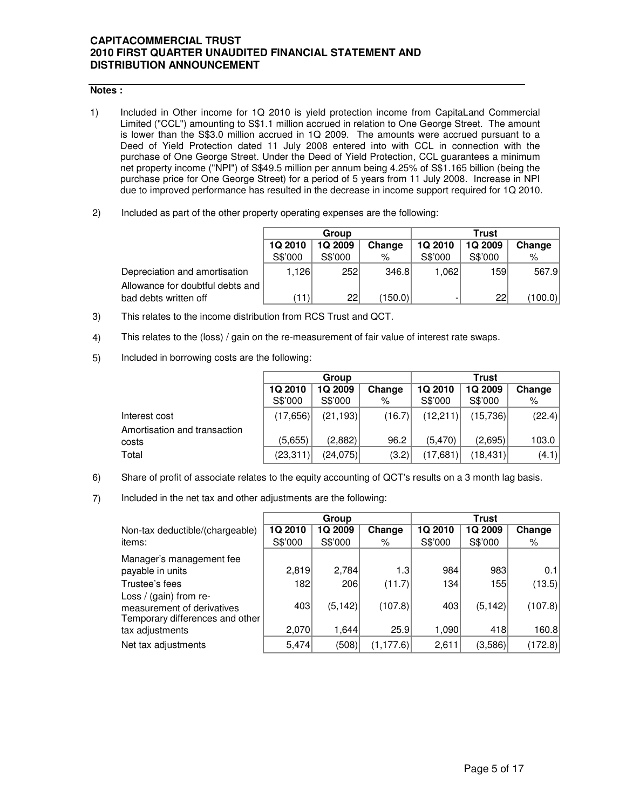## **Notes :**

- 1) Included in Other income for 1Q 2010 is yield protection income from CapitaLand Commercial Limited ("CCL") amounting to S\$1.1 million accrued in relation to One George Street. The amount is lower than the S\$3.0 million accrued in 1Q 2009. The amounts were accrued pursuant to a Deed of Yield Protection dated 11 July 2008 entered into with CCL in connection with the purchase of One George Street. Under the Deed of Yield Protection, CCL guarantees a minimum net property income ("NPI") of S\$49.5 million per annum being 4.25% of S\$1.165 billion (being the purchase price for One George Street) for a period of 5 years from 11 July 2008. Increase in NPI due to improved performance has resulted in the decrease in income support required for 1Q 2010.
- 2) Included as part of the other property operating expenses are the following:

|                                  |         | Group          |         | <b>Trust</b>   |         |         |  |
|----------------------------------|---------|----------------|---------|----------------|---------|---------|--|
|                                  | 1Q 2010 | <b>1Q 2009</b> | Change  | <b>1Q 2010</b> | 1Q 2009 | Change  |  |
|                                  | S\$'000 | S\$'000        | %       | S\$'000        | S\$'000 | $\%$    |  |
| Depreciation and amortisation    | .126    | 252            | 346.8   | 1.0621         | 159     | 567.9   |  |
| Allowance for doubtful debts and |         |                |         |                |         |         |  |
| bad debts written off            | (11)    | 22             | (150.0) |                | 22      | (100.0) |  |

- 3) This relates to the income distribution from RCS Trust and QCT.
- 4) This relates to the (loss) / gain on the re-measurement of fair value of interest rate swaps.
- 5) Included in borrowing costs are the following:

|                              |           | Group     |        | <b>Trust</b> |          |        |  |
|------------------------------|-----------|-----------|--------|--------------|----------|--------|--|
|                              | 1Q 2010   | 1Q 2009   | Change | 1Q 2010      | 1Q 2009  | Change |  |
|                              | S\$'000   | S\$'000   | ℅      | S\$'000      | S\$'000  | %      |  |
| Interest cost                | (17, 656) | (21, 193) | (16.7) | (12,211)     | (15,736) | (22.4) |  |
| Amortisation and transaction |           |           |        |              |          |        |  |
| costs                        | (5,655)   | (2,882)   | 96.2   | (5.470)      | (2,695)  | 103.0  |  |
| Total                        | (23, 311) | (24,075)  | (3.2)  | (17,681)     | (18,431) | (4.1)  |  |

- 6) Share of profit of associate relates to the equity accounting of QCT's results on a 3 month lag basis.
- 7) Included in the net tax and other adjustments are the following:

|                                                                                         |         | Group    |            | <b>Trust</b> |          |         |
|-----------------------------------------------------------------------------------------|---------|----------|------------|--------------|----------|---------|
| Non-tax deductible/(chargeable)                                                         | 1Q 2010 | 1Q 2009  | Change     | 1Q 2010      | 1Q 2009  | Change  |
| items:                                                                                  | S\$'000 | S\$'000  | %          | S\$'000      | S\$'000  | %       |
| Manager's management fee                                                                |         |          |            |              |          |         |
| payable in units                                                                        | 2,819   | 2,784    | 1.3        | 984          | 983      | 0.1     |
| Trustee's fees                                                                          | 182     | 206      | (11.7)     | 134          | 155      | (13.5)  |
| Loss / (gain) from re-<br>measurement of derivatives<br>Temporary differences and other | 403     | (5, 142) | (107.8)    | 403          | (5, 142) | (107.8) |
| tax adjustments                                                                         | 2,070   | 1,644    | 25.9       | 1,090        | 418      | 160.8   |
| Net tax adjustments                                                                     | 5,474   | (508)    | (1, 177.6) | 2,611        | (3,586)  | (172.8) |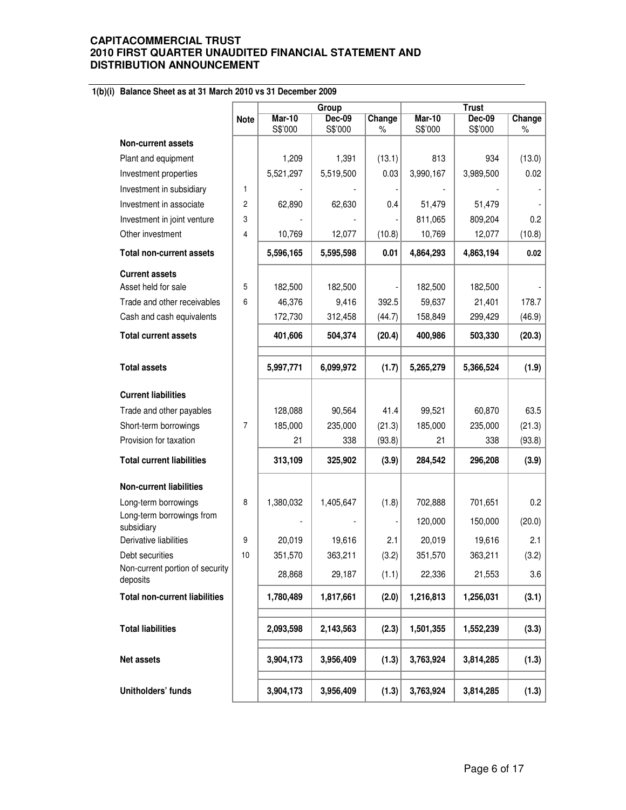## **1(b)(i) Balance Sheet as at 31 March 2010 vs 31 December 2009**

|                                                 |                |               | Group     |        |               |           |         |
|-------------------------------------------------|----------------|---------------|-----------|--------|---------------|-----------|---------|
|                                                 | <b>Note</b>    | <b>Mar-10</b> | Dec-09    | Change | <b>Mar-10</b> | $Dec-09$  | Change  |
|                                                 |                | S\$'000       | S\$'000   | $\%$   | S\$'000       | S\$'000   | $\%$    |
| <b>Non-current assets</b>                       |                | 1,209         | 1,391     | (13.1) | 813           | 934       | (13.0)  |
| Plant and equipment                             |                | 5,521,297     | 5,519,500 | 0.03   | 3,990,167     | 3,989,500 | 0.02    |
| Investment properties                           | 1              |               |           |        |               |           |         |
| Investment in subsidiary                        |                |               |           |        |               |           |         |
| Investment in associate                         | $\overline{c}$ | 62,890        | 62,630    | 0.4    | 51,479        | 51,479    |         |
| Investment in joint venture<br>Other investment | 3<br>4         | 10,769        | 12,077    |        | 811,065       | 809,204   | 0.2     |
|                                                 |                |               |           | (10.8) | 10,769        | 12,077    | (10.8)  |
| <b>Total non-current assets</b>                 |                | 5,596,165     | 5,595,598 | 0.01   | 4,864,293     | 4,863,194 | 0.02    |
| <b>Current assets</b>                           |                |               |           |        |               |           |         |
| Asset held for sale                             | 5              | 182,500       | 182,500   |        | 182,500       | 182,500   |         |
| Trade and other receivables                     | 6              | 46,376        | 9,416     | 392.5  | 59,637        | 21,401    | 178.7   |
| Cash and cash equivalents                       |                | 172,730       | 312,458   | (44.7) | 158,849       | 299,429   | (46.9)  |
| <b>Total current assets</b>                     |                | 401,606       | 504,374   | (20.4) | 400,986       | 503,330   | (20.3)  |
|                                                 |                |               |           |        |               |           |         |
| <b>Total assets</b>                             |                | 5,997,771     | 6,099,972 | (1.7)  | 5,265,279     | 5,366,524 | (1.9)   |
| <b>Current liabilities</b>                      |                |               |           |        |               |           |         |
| Trade and other payables                        |                | 128,088       | 90,564    | 41.4   | 99,521        | 60,870    | 63.5    |
| Short-term borrowings                           | 7              | 185,000       | 235,000   | (21.3) | 185,000       | 235,000   | (21.3)  |
| Provision for taxation                          |                | 21            | 338       | (93.8) | 21            | 338       | (93.8)  |
| <b>Total current liabilities</b>                |                | 313,109       | 325,902   | (3.9)  | 284,542       | 296,208   | (3.9)   |
| <b>Non-current liabilities</b>                  |                |               |           |        |               |           |         |
| Long-term borrowings                            | 8              | 1,380,032     | 1,405,647 | (1.8)  | 702,888       | 701,651   | 0.2     |
| Long-term borrowings from<br>subsidiary         |                |               |           |        | 120,000       | 150,000   | (20.0)  |
| Derivative liabilities                          | 9              | 20,019        | 19,616    | 2.1    | 20,019        | 19,616    | 2.1     |
| Debt securities                                 | 10             | 351,570       | 363,211   | (3.2)  | 351,570       | 363,211   | (3.2)   |
| Non-current portion of security<br>deposits     |                | 28,868        | 29,187    | (1.1)  | 22,336        | 21,553    | $3.6\,$ |
| <b>Total non-current liabilities</b>            |                | 1,780,489     | 1,817,661 | (2.0)  | 1,216,813     | 1,256,031 | (3.1)   |
| <b>Total liabilities</b>                        |                | 2,093,598     | 2,143,563 | (2.3)  | 1,501,355     | 1,552,239 | (3.3)   |
| Net assets                                      |                | 3,904,173     | 3,956,409 | (1.3)  | 3,763,924     | 3,814,285 | (1.3)   |
| Unitholders' funds                              |                | 3,904,173     | 3,956,409 | (1.3)  | 3,763,924     | 3,814,285 | (1.3)   |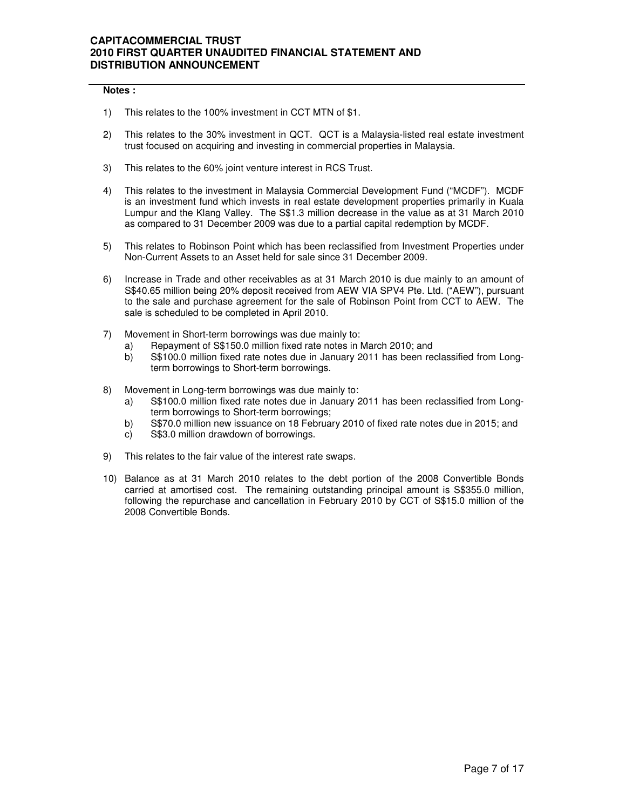#### **Notes :**

- 1) This relates to the 100% investment in CCT MTN of \$1.
- 2) This relates to the 30% investment in QCT. QCT is a Malaysia-listed real estate investment trust focused on acquiring and investing in commercial properties in Malaysia.
- 3) This relates to the 60% joint venture interest in RCS Trust.
- 4) This relates to the investment in Malaysia Commercial Development Fund ("MCDF"). MCDF is an investment fund which invests in real estate development properties primarily in Kuala Lumpur and the Klang Valley. The S\$1.3 million decrease in the value as at 31 March 2010 as compared to 31 December 2009 was due to a partial capital redemption by MCDF.
- 5) This relates to Robinson Point which has been reclassified from Investment Properties under Non-Current Assets to an Asset held for sale since 31 December 2009.
- 6) Increase in Trade and other receivables as at 31 March 2010 is due mainly to an amount of S\$40.65 million being 20% deposit received from AEW VIA SPV4 Pte. Ltd. ("AEW"), pursuant to the sale and purchase agreement for the sale of Robinson Point from CCT to AEW. The sale is scheduled to be completed in April 2010.
- 7) Movement in Short-term borrowings was due mainly to:
	- a) Repayment of S\$150.0 million fixed rate notes in March 2010; and
	- b) S\$100.0 million fixed rate notes due in January 2011 has been reclassified from Longterm borrowings to Short-term borrowings.
- 8) Movement in Long-term borrowings was due mainly to:
	- a) S\$100.0 million fixed rate notes due in January 2011 has been reclassified from Longterm borrowings to Short-term borrowings;
	- b) S\$70.0 million new issuance on 18 February 2010 of fixed rate notes due in 2015; and
	- c) S\$3.0 million drawdown of borrowings.
- 9) This relates to the fair value of the interest rate swaps.
- 10) Balance as at 31 March 2010 relates to the debt portion of the 2008 Convertible Bonds carried at amortised cost. The remaining outstanding principal amount is S\$355.0 million, following the repurchase and cancellation in February 2010 by CCT of S\$15.0 million of the 2008 Convertible Bonds.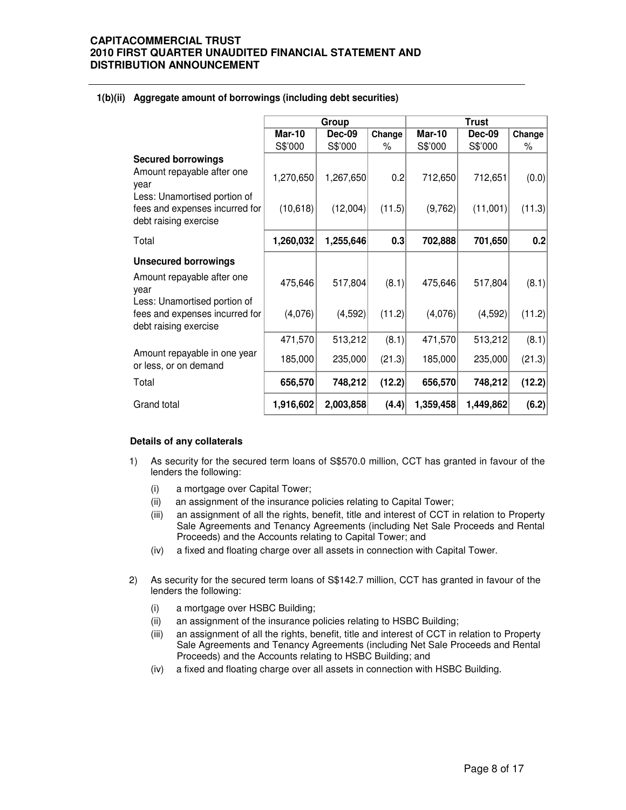## **1(b)(ii) Aggregate amount of borrowings (including debt securities)**

|                                                                                                                                                            |                       | Group                 |               | <b>Trust</b>       |                     |                 |  |
|------------------------------------------------------------------------------------------------------------------------------------------------------------|-----------------------|-----------------------|---------------|--------------------|---------------------|-----------------|--|
|                                                                                                                                                            | <b>Mar-10</b>         | <b>Dec-09</b>         | Change        | <b>Mar-10</b>      | <b>Dec-09</b>       | Change          |  |
|                                                                                                                                                            | S\$'000               | S\$'000               | %             | S\$'000            | S\$'000             | %               |  |
| <b>Secured borrowings</b><br>Amount repayable after one<br>year<br>Less: Unamortised portion of<br>fees and expenses incurred for<br>debt raising exercise | 1,270,650<br>(10,618) | 1,267,650<br>(12,004) | 0.2<br>(11.5) | 712,650<br>(9,762) | 712,651<br>(11,001) | (0.0)<br>(11.3) |  |
| Total                                                                                                                                                      | 1,260,032             | 1,255,646             | 0.3           | 702,888            | 701,650             | 0.2             |  |
| <b>Unsecured borrowings</b>                                                                                                                                |                       |                       |               |                    |                     |                 |  |
| Amount repayable after one<br>year                                                                                                                         | 475,646               | 517,804               | (8.1)         | 475,646            | 517,804             | (8.1)           |  |
| Less: Unamortised portion of<br>fees and expenses incurred for<br>debt raising exercise                                                                    | (4,076)               | (4, 592)              | (11.2)        | (4,076)            | (4,592)             | (11.2)          |  |
|                                                                                                                                                            | 471,570               | 513,212               | (8.1)         | 471,570            | 513,212             | (8.1)           |  |
| Amount repayable in one year<br>or less, or on demand                                                                                                      | 185,000               | 235,000               | (21.3)        | 185,000            | 235,000             | (21.3)          |  |
| Total                                                                                                                                                      | 656,570               | 748,212               | (12.2)        | 656,570            | 748,212             | (12.2)          |  |
| Grand total                                                                                                                                                | 1,916,602             | 2,003,858             | (4.4)         | 1,359,458          | 1,449,862           | (6.2)           |  |

#### **Details of any collaterals**

- 1) As security for the secured term loans of S\$570.0 million, CCT has granted in favour of the lenders the following:
	- (i) a mortgage over Capital Tower;
	- (ii) an assignment of the insurance policies relating to Capital Tower;
	- (iii) an assignment of all the rights, benefit, title and interest of CCT in relation to Property Sale Agreements and Tenancy Agreements (including Net Sale Proceeds and Rental Proceeds) and the Accounts relating to Capital Tower; and
	- (iv) a fixed and floating charge over all assets in connection with Capital Tower.
- 2) As security for the secured term loans of S\$142.7 million, CCT has granted in favour of the lenders the following:
	- (i) a mortgage over HSBC Building;
	- (ii) an assignment of the insurance policies relating to HSBC Building;
	- (iii) an assignment of all the rights, benefit, title and interest of CCT in relation to Property Sale Agreements and Tenancy Agreements (including Net Sale Proceeds and Rental Proceeds) and the Accounts relating to HSBC Building; and
	- (iv) a fixed and floating charge over all assets in connection with HSBC Building.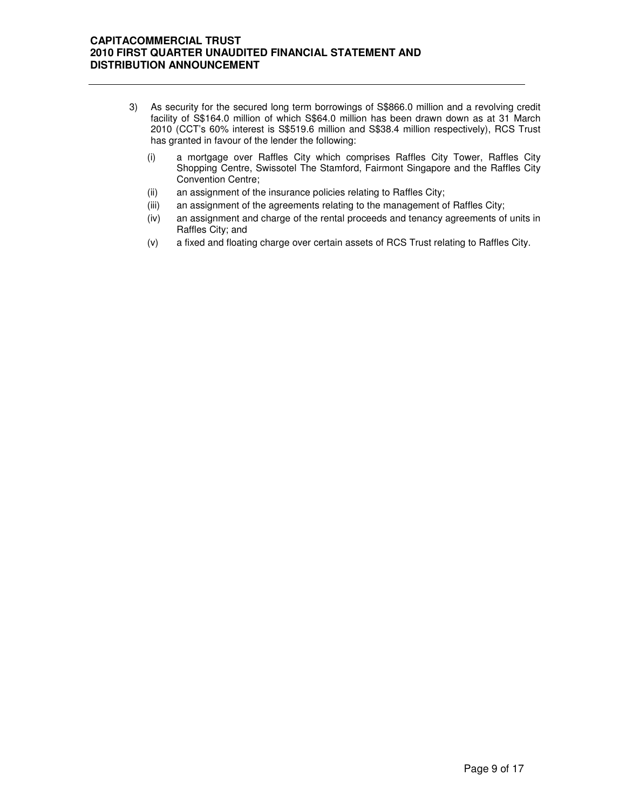- 3) As security for the secured long term borrowings of S\$866.0 million and a revolving credit facility of S\$164.0 million of which S\$64.0 million has been drawn down as at 31 March 2010 (CCT's 60% interest is S\$519.6 million and S\$38.4 million respectively), RCS Trust has granted in favour of the lender the following:
	- (i) a mortgage over Raffles City which comprises Raffles City Tower, Raffles City Shopping Centre, Swissotel The Stamford, Fairmont Singapore and the Raffles City Convention Centre;
	- (ii) an assignment of the insurance policies relating to Raffles City;
	- (iii) an assignment of the agreements relating to the management of Raffles City;
	- (iv) an assignment and charge of the rental proceeds and tenancy agreements of units in Raffles City; and
	- (v) a fixed and floating charge over certain assets of RCS Trust relating to Raffles City.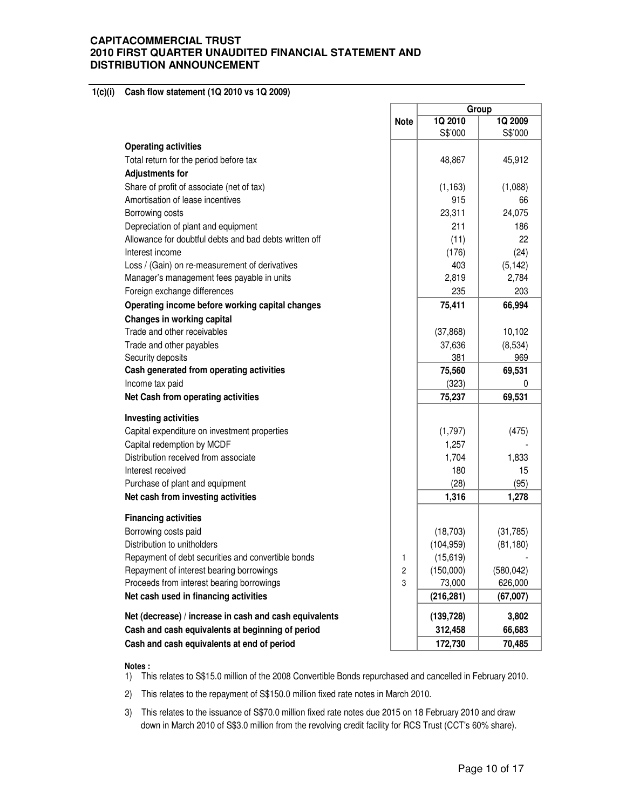#### **1(c)(i) Cash flow statement (1Q 2010 vs 1Q 2009)**

|                                                        |             | Group      |            |  |  |
|--------------------------------------------------------|-------------|------------|------------|--|--|
|                                                        | <b>Note</b> | 1Q 2010    | 1Q 2009    |  |  |
|                                                        |             | S\$'000    | S\$'000    |  |  |
| <b>Operating activities</b>                            |             |            |            |  |  |
| Total return for the period before tax                 |             | 48,867     | 45,912     |  |  |
| <b>Adjustments for</b>                                 |             |            |            |  |  |
| Share of profit of associate (net of tax)              |             | (1, 163)   | (1,088)    |  |  |
| Amortisation of lease incentives                       |             | 915        | 66         |  |  |
| Borrowing costs                                        |             | 23,311     | 24,075     |  |  |
| Depreciation of plant and equipment                    |             | 211        | 186        |  |  |
| Allowance for doubtful debts and bad debts written off |             | (11)       | 22         |  |  |
| Interest income                                        |             | (176)      | (24)       |  |  |
| Loss / (Gain) on re-measurement of derivatives         |             | 403        | (5, 142)   |  |  |
| Manager's management fees payable in units             |             | 2,819      | 2,784      |  |  |
| Foreign exchange differences                           |             | 235        | 203        |  |  |
| Operating income before working capital changes        |             | 75,411     | 66,994     |  |  |
| Changes in working capital                             |             |            |            |  |  |
| Trade and other receivables                            |             | (37, 868)  | 10,102     |  |  |
| Trade and other payables                               |             | 37,636     | (8,534)    |  |  |
| Security deposits                                      |             | 381        | 969        |  |  |
| Cash generated from operating activities               |             | 75,560     | 69,531     |  |  |
| Income tax paid                                        |             | (323)      | 0          |  |  |
| Net Cash from operating activities                     |             | 75,237     | 69,531     |  |  |
|                                                        |             |            |            |  |  |
| <b>Investing activities</b>                            |             |            |            |  |  |
| Capital expenditure on investment properties           |             | (1,797)    | (475)      |  |  |
| Capital redemption by MCDF                             |             | 1,257      |            |  |  |
| Distribution received from associate                   |             | 1,704      | 1,833      |  |  |
| Interest received                                      |             | 180        | 15         |  |  |
| Purchase of plant and equipment                        |             | (28)       | (95)       |  |  |
| Net cash from investing activities                     |             | 1,316      | 1,278      |  |  |
| <b>Financing activities</b>                            |             |            |            |  |  |
| Borrowing costs paid                                   |             | (18, 703)  | (31, 785)  |  |  |
| Distribution to unitholders                            |             | (104, 959) | (81, 180)  |  |  |
| Repayment of debt securities and convertible bonds     | 1           | (15,619)   |            |  |  |
| Repayment of interest bearing borrowings               | 2           | (150,000)  | (580, 042) |  |  |
| Proceeds from interest bearing borrowings              | 3           | 73,000     | 626,000    |  |  |
| Net cash used in financing activities                  |             | (216, 281) | (67,007)   |  |  |
| Net (decrease) / increase in cash and cash equivalents |             | (139, 728) | 3,802      |  |  |
| Cash and cash equivalents at beginning of period       |             | 312,458    | 66,683     |  |  |
| Cash and cash equivalents at end of period             |             | 172,730    | 70,485     |  |  |

#### **Notes :**

- 1) This relates to S\$15.0 million of the 2008 Convertible Bonds repurchased and cancelled in February 2010.
- 2) This relates to the repayment of S\$150.0 million fixed rate notes in March 2010.
- 3) This relates to the issuance of S\$70.0 million fixed rate notes due 2015 on 18 February 2010 and draw down in March 2010 of S\$3.0 million from the revolving credit facility for RCS Trust (CCT's 60% share).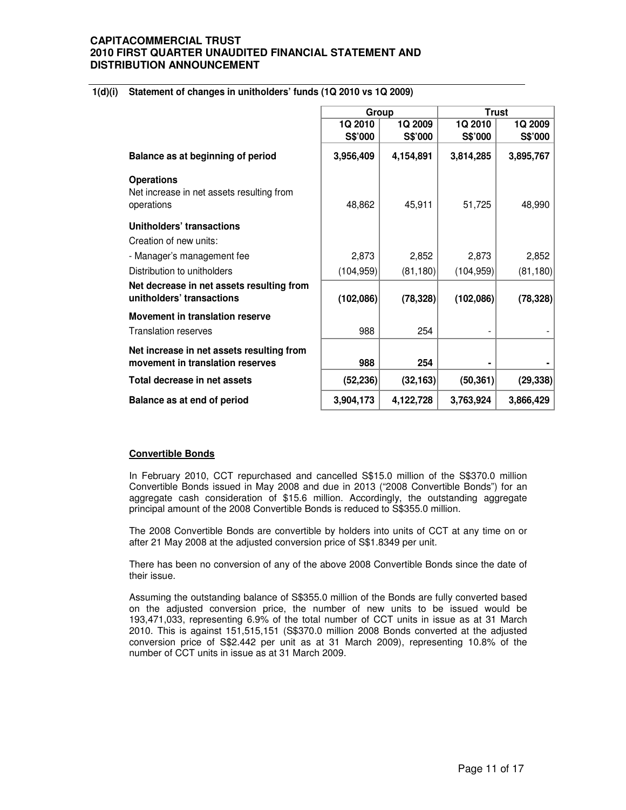#### **1(d)(i) Statement of changes in unitholders' funds (1Q 2010 vs 1Q 2009)**

|                                                                               | Group              |                    | <b>Trust</b>       |                    |
|-------------------------------------------------------------------------------|--------------------|--------------------|--------------------|--------------------|
|                                                                               | 1Q 2010<br>S\$'000 | 1Q 2009<br>S\$'000 | 1Q 2010<br>S\$'000 | 1Q 2009<br>S\$'000 |
| Balance as at beginning of period                                             | 3,956,409          | 4,154,891          | 3,814,285          | 3,895,767          |
| <b>Operations</b><br>Net increase in net assets resulting from<br>operations  | 48,862             | 45,911             | 51,725             | 48,990             |
| Unitholders' transactions<br>Creation of new units:                           |                    |                    |                    |                    |
| - Manager's management fee                                                    | 2,873              | 2,852              | 2,873              | 2,852              |
| Distribution to unitholders                                                   | (104, 959)         | (81, 180)          | (104, 959)         | (81, 180)          |
| Net decrease in net assets resulting from<br>unitholders' transactions        | (102,086)          | (78, 328)          | (102,086)          | (78, 328)          |
| Movement in translation reserve<br><b>Translation reserves</b>                | 988                | 254                |                    |                    |
| Net increase in net assets resulting from<br>movement in translation reserves | 988                | 254                |                    |                    |
| Total decrease in net assets                                                  | (52, 236)          | (32, 163)          | (50, 361)          | (29, 338)          |
| Balance as at end of period                                                   | 3,904,173          | 4,122,728          | 3,763,924          | 3,866,429          |

#### **Convertible Bonds**

In February 2010, CCT repurchased and cancelled S\$15.0 million of the S\$370.0 million Convertible Bonds issued in May 2008 and due in 2013 ("2008 Convertible Bonds") for an aggregate cash consideration of \$15.6 million. Accordingly, the outstanding aggregate principal amount of the 2008 Convertible Bonds is reduced to S\$355.0 million.

The 2008 Convertible Bonds are convertible by holders into units of CCT at any time on or after 21 May 2008 at the adjusted conversion price of S\$1.8349 per unit.

There has been no conversion of any of the above 2008 Convertible Bonds since the date of their issue.

Assuming the outstanding balance of S\$355.0 million of the Bonds are fully converted based on the adjusted conversion price, the number of new units to be issued would be 193,471,033, representing 6.9% of the total number of CCT units in issue as at 31 March 2010. This is against 151,515,151 (S\$370.0 million 2008 Bonds converted at the adjusted conversion price of S\$2.442 per unit as at 31 March 2009), representing 10.8% of the number of CCT units in issue as at 31 March 2009.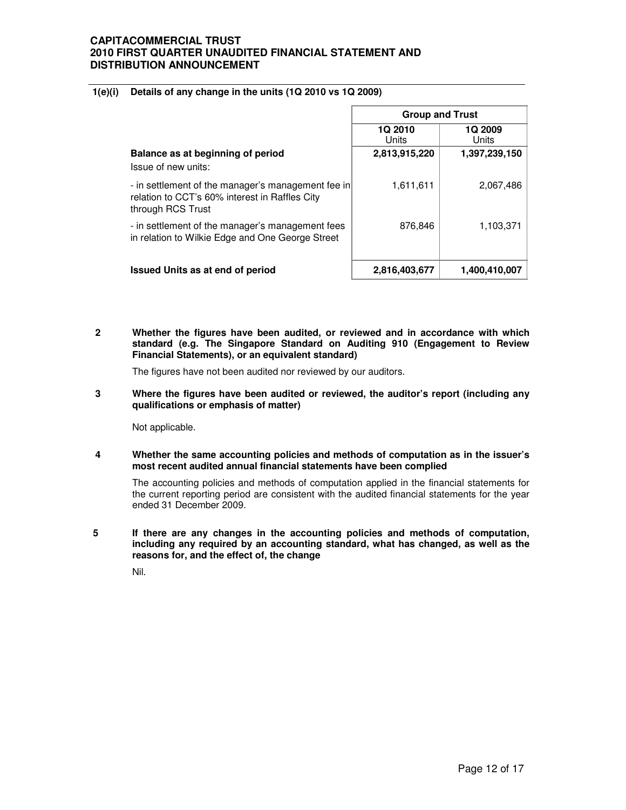#### **1(e)(i) Details of any change in the units (1Q 2010 vs 1Q 2009)**

|                                                                                                                           | <b>Group and Trust</b>  |                  |  |
|---------------------------------------------------------------------------------------------------------------------------|-------------------------|------------------|--|
|                                                                                                                           | <b>1Q 2010</b><br>Units | 1Q 2009<br>Units |  |
| Balance as at beginning of period<br>Issue of new units:                                                                  | 2,813,915,220           | 1,397,239,150    |  |
| - in settlement of the manager's management fee in<br>relation to CCT's 60% interest in Raffles City<br>through RCS Trust | 1,611,611               | 2,067,486        |  |
| - in settlement of the manager's management fees<br>in relation to Wilkie Edge and One George Street                      | 876,846                 | 1,103,371        |  |
| <b>Issued Units as at end of period</b>                                                                                   | 2,816,403,677           | 1,400,410,007    |  |

**2 Whether the figures have been audited, or reviewed and in accordance with which standard (e.g. The Singapore Standard on Auditing 910 (Engagement to Review Financial Statements), or an equivalent standard)** 

The figures have not been audited nor reviewed by our auditors.

 $\overline{3}$ **3 Where the figures have been audited or reviewed, the auditor's report (including any qualifications or emphasis of matter)** 

Not applicable.

**4 Whether the same accounting policies and methods of computation as in the issuer's most recent audited annual financial statements have been complied** 

The accounting policies and methods of computation applied in the financial statements for the current reporting period are consistent with the audited financial statements for the year ended 31 December 2009.

**5 If there are any changes in the accounting policies and methods of computation, including any required by an accounting standard, what has changed, as well as the reasons for, and the effect of, the change** 

Nil.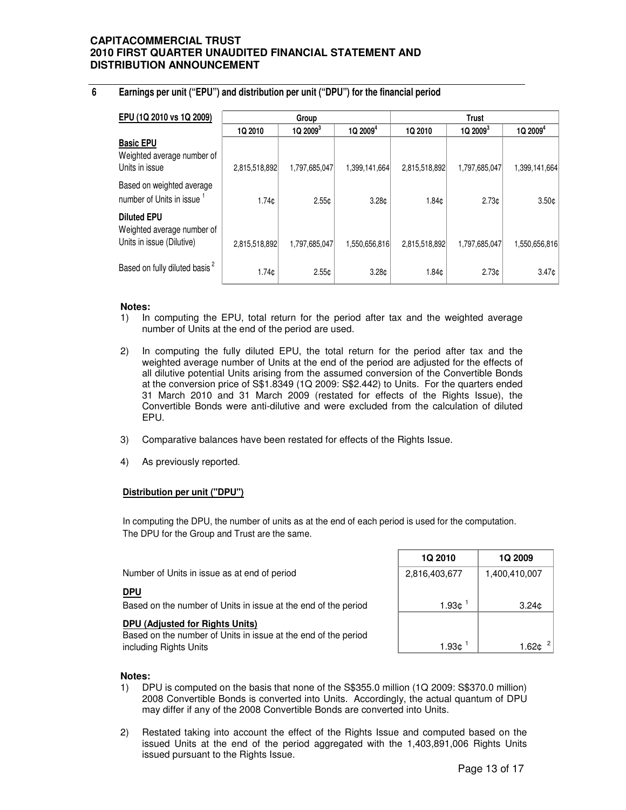## **6 Earnings per unit ("EPU") and distribution per unit ("DPU") for the financial period**

| EPU (1Q 2010 vs 1Q 2009)                                                      | Group             |               |                        | <b>Trust</b>  |                     |                      |  |
|-------------------------------------------------------------------------------|-------------------|---------------|------------------------|---------------|---------------------|----------------------|--|
|                                                                               | 1Q 2010           | $1Q2009^3$    | $1Q$ 2009 <sup>4</sup> | 1Q 2010       | 1Q2009 <sup>3</sup> | 1Q 2009 <sup>4</sup> |  |
| <b>Basic EPU</b><br>Weighted average number of<br>Units in issue              | 2,815,518,892     | 1,797,685,047 | 1,399,141,664          | 2,815,518,892 | 1,797,685,047       | 1,399,141,664        |  |
| Based on weighted average<br>number of Units in issue <sup>1</sup>            | 1.74 <sub>c</sub> | 2.55c         | 3.28 <sub>0</sub>      | 1.84¢         | 2.73c               | 3.50 <sub>c</sub>    |  |
| <b>Diluted EPU</b><br>Weighted average number of<br>Units in issue (Dilutive) | 2,815,518,892     | 1,797,685,047 | 1,550,656,816          | 2,815,518,892 | 1,797,685,047       | 1,550,656,816        |  |
| Based on fully diluted basis <sup>2</sup>                                     | 1.74 <sub>c</sub> | 2.55c         | 3.28 <sub>c</sub>      | 1.84¢         | 2.73c               | 3.47c                |  |

#### **Notes:**

- 1) In computing the EPU, total return for the period after tax and the weighted average number of Units at the end of the period are used.
- 2) In computing the fully diluted EPU, the total return for the period after tax and the weighted average number of Units at the end of the period are adjusted for the effects of all dilutive potential Units arising from the assumed conversion of the Convertible Bonds at the conversion price of S\$1.8349 (1Q 2009: S\$2.442) to Units. For the quarters ended 31 March 2010 and 31 March 2009 (restated for effects of the Rights Issue), the Convertible Bonds were anti-dilutive and were excluded from the calculation of diluted EPU.
- 3) Comparative balances have been restated for effects of the Rights Issue.
- 4) As previously reported.

#### **Distribution per unit ("DPU")**

The DPU for the Group and Trust are the same. In computing the DPU, the number of units as at the end of each period is used for the computation.

|                                                                | <b>1Q 2010</b> | 1Q 2009           |
|----------------------------------------------------------------|----------------|-------------------|
| Number of Units in issue as at end of period                   | 2,816,403,677  | 1,400,410,007     |
| <u>DPU</u>                                                     |                |                   |
| Based on the number of Units in issue at the end of the period | 1.93c          | 3.24 <sub>0</sub> |
| <b>DPU (Adjusted for Rights Units)</b>                         |                |                   |
| Based on the number of Units in issue at the end of the period |                |                   |
| including Rights Units                                         | 1.93¢          |                   |

#### **Notes:**

- 1) DPU is computed on the basis that none of the S\$355.0 million (1Q 2009: S\$370.0 million) 2008 Convertible Bonds is converted into Units. Accordingly, the actual quantum of DPU may differ if any of the 2008 Convertible Bonds are converted into Units.
- 2) Restated taking into account the effect of the Rights Issue and computed based on the issued Units at the end of the period aggregated with the 1,403,891,006 Rights Units issued pursuant to the Rights Issue.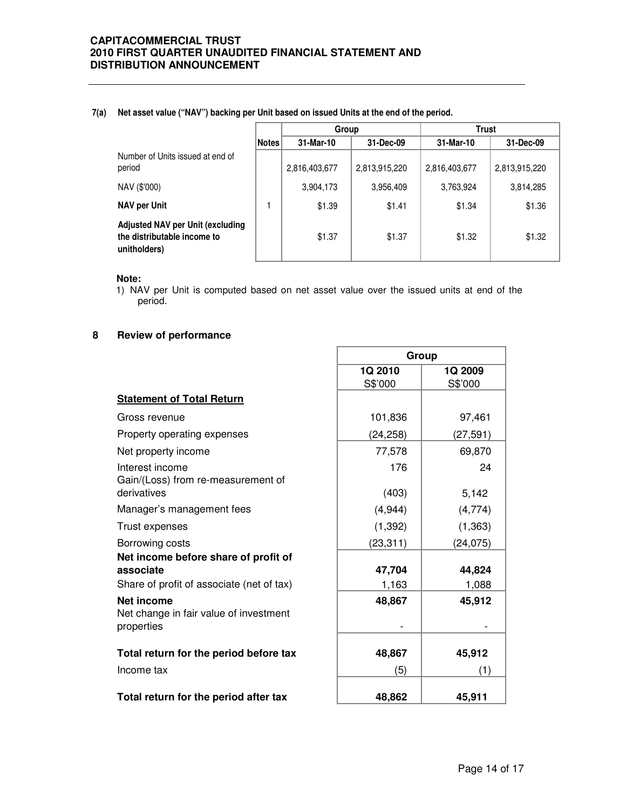#### **7(a) Net asset value ("NAV") backing per Unit based on issued Units at the end of the period.**

|                                                                                        |              | Group         |               | <b>Trust</b>  |               |
|----------------------------------------------------------------------------------------|--------------|---------------|---------------|---------------|---------------|
|                                                                                        | <b>Notes</b> | 31-Mar-10     | 31-Dec-09     | 31-Mar-10     | 31-Dec-09     |
| Number of Units issued at end of<br>period                                             |              | 2,816,403,677 | 2,813,915,220 | 2,816,403,677 | 2,813,915,220 |
| NAV (\$'000)                                                                           |              | 3,904,173     | 3,956,409     | 3,763,924     | 3,814,285     |
| <b>NAV per Unit</b>                                                                    |              | \$1.39        | \$1.41        | \$1.34        | \$1.36        |
| <b>Adjusted NAV per Unit (excluding</b><br>the distributable income to<br>unitholders) |              | \$1.37        | \$1.37        | \$1.32        | \$1.32        |

#### **Note:**

1) NAV per Unit is computed based on net asset value over the issued units at end of the period.

## **8 Review of performance**

|                                                                                                | Group              |                    |
|------------------------------------------------------------------------------------------------|--------------------|--------------------|
|                                                                                                | 1Q 2010<br>S\$'000 | 1Q 2009<br>S\$'000 |
| <b>Statement of Total Return</b>                                                               |                    |                    |
| Gross revenue                                                                                  | 101,836            | 97,461             |
| Property operating expenses                                                                    | (24, 258)          | (27, 591)          |
| Net property income                                                                            | 77,578             | 69,870             |
| Interest income<br>Gain/(Loss) from re-measurement of                                          | 176                | 24                 |
| derivatives                                                                                    | (403)              | 5,142              |
| Manager's management fees                                                                      | (4, 944)           | (4,774)            |
| Trust expenses                                                                                 | (1, 392)           | (1, 363)           |
| Borrowing costs                                                                                | (23, 311)          | (24,075)           |
| Net income before share of profit of<br>associate<br>Share of profit of associate (net of tax) | 47,704<br>1,163    | 44,824<br>1,088    |
| <b>Net income</b><br>Net change in fair value of investment<br>properties                      | 48,867             | 45,912             |
| Total return for the period before tax                                                         | 48,867             | 45,912             |
| Income tax                                                                                     | (5)                | (1)                |
| Total return for the period after tax                                                          | 48,862             | 45,911             |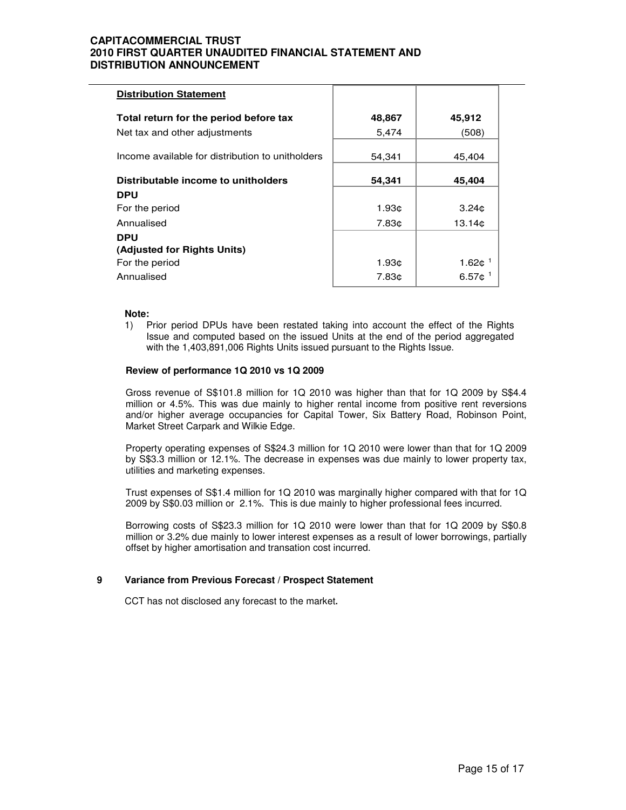| <b>Distribution Statement</b>                    |                   |                              |
|--------------------------------------------------|-------------------|------------------------------|
| Total return for the period before tax           | 48,867            | 45,912                       |
| Net tax and other adjustments                    | 5,474             | (508)                        |
| Income available for distribution to unitholders | 54,341            | 45,404                       |
| Distributable income to unitholders              | 54,341            | 45,404                       |
| <b>DPU</b>                                       |                   |                              |
| For the period                                   | 1.93c             | 3.24 <sub>c</sub>            |
| Annualised                                       | 7.83 <sub>¢</sub> | 13.14 <sub>°</sub>           |
| <b>DPU</b>                                       |                   |                              |
| (Adjusted for Rights Units)                      |                   |                              |
| For the period                                   | 1.93c             | 1.62 $¢$ <sup>1</sup>        |
| Annualised                                       | 7.83¢             | 6.57 $\text{c}$ <sup>1</sup> |

#### **Note:**

1) Prior period DPUs have been restated taking into account the effect of the Rights Issue and computed based on the issued Units at the end of the period aggregated with the 1,403,891,006 Rights Units issued pursuant to the Rights Issue.

#### **Review of performance 1Q 2010 vs 1Q 2009**

 Gross revenue of S\$101.8 million for 1Q 2010 was higher than that for 1Q 2009 by S\$4.4 million or 4.5%. This was due mainly to higher rental income from positive rent reversions and/or higher average occupancies for Capital Tower, Six Battery Road, Robinson Point, Market Street Carpark and Wilkie Edge.

Property operating expenses of S\$24.3 million for 1Q 2010 were lower than that for 1Q 2009 by S\$3.3 million or 12.1%. The decrease in expenses was due mainly to lower property tax, utilities and marketing expenses.

Trust expenses of S\$1.4 million for 1Q 2010 was marginally higher compared with that for 1Q 2009 by S\$0.03 million or 2.1%. This is due mainly to higher professional fees incurred.

Borrowing costs of S\$23.3 million for 1Q 2010 were lower than that for 1Q 2009 by S\$0.8 million or 3.2% due mainly to lower interest expenses as a result of lower borrowings, partially offset by higher amortisation and transation cost incurred.

#### **9 Variance from Previous Forecast / Prospect Statement**

CCT has not disclosed any forecast to the market**.**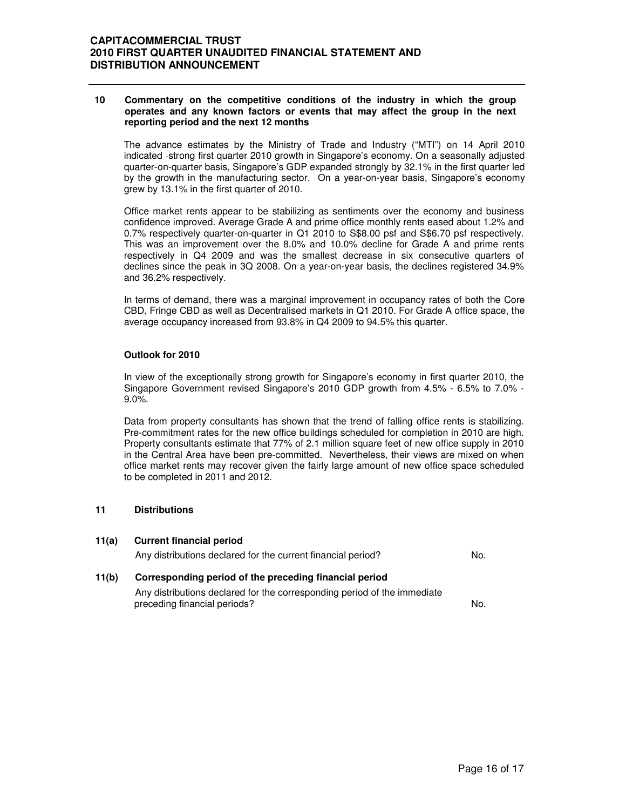#### **10 Commentary on the competitive conditions of the industry in which the group operates and any known factors or events that may affect the group in the next reporting period and the next 12 months**

The advance estimates by the Ministry of Trade and Industry ("MTI") on 14 April 2010 indicated strong first quarter 2010 growth in Singapore's economy. On a seasonally adjusted quarter-on-quarter basis, Singapore's GDP expanded strongly by 32.1% in the first quarter led by the growth in the manufacturing sector. On a year-on-year basis, Singapore's economy grew by 13.1% in the first quarter of 2010.

Office market rents appear to be stabilizing as sentiments over the economy and business confidence improved. Average Grade A and prime office monthly rents eased about 1.2% and 0.7% respectively quarter-on-quarter in Q1 2010 to S\$8.00 psf and S\$6.70 psf respectively. This was an improvement over the 8.0% and 10.0% decline for Grade A and prime rents respectively in Q4 2009 and was the smallest decrease in six consecutive quarters of declines since the peak in 3Q 2008. On a year-on-year basis, the declines registered 34.9% and 36.2% respectively.

In terms of demand, there was a marginal improvement in occupancy rates of both the Core CBD, Fringe CBD as well as Decentralised markets in Q1 2010. For Grade A office space, the average occupancy increased from 93.8% in Q4 2009 to 94.5% this quarter.

#### **Outlook for 2010**

In view of the exceptionally strong growth for Singapore's economy in first quarter 2010, the Singapore Government revised Singapore's 2010 GDP growth from 4.5% - 6.5% to 7.0% - 9.0%.

Data from property consultants has shown that the trend of falling office rents is stabilizing. Pre-commitment rates for the new office buildings scheduled for completion in 2010 are high. Property consultants estimate that 77% of 2.1 million square feet of new office supply in 2010 in the Central Area have been pre-committed. Nevertheless, their views are mixed on when office market rents may recover given the fairly large amount of new office space scheduled to be completed in 2011 and 2012.

#### **11 Distributions**

| 11(a) | <b>Current financial period</b>                              |     |
|-------|--------------------------------------------------------------|-----|
|       | Any distributions declared for the current financial period? | No. |
| 11(b) | Corresponding period of the preceding financial period       |     |

Any distributions declared for the corresponding period of the immediate preceding financial periods?